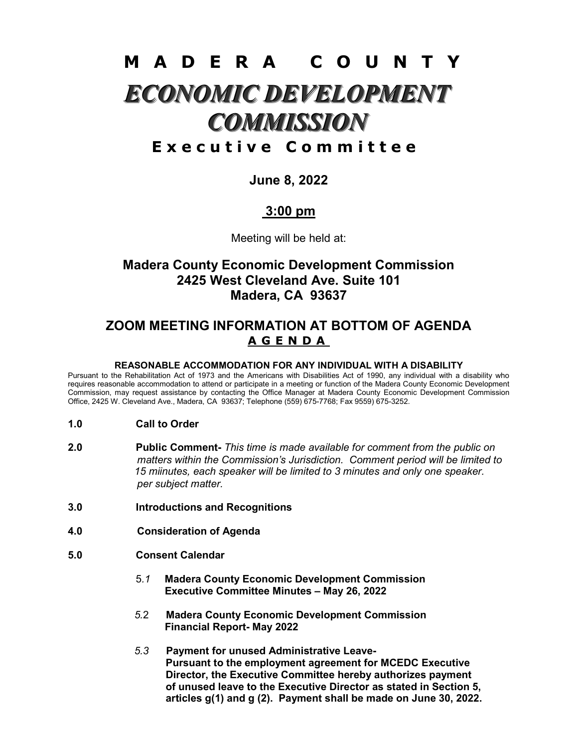# M A D E R A C O U N T Y ECONOMIC DEVELOPMENT **COMMISSION**

# E x e c u t i v e C o m m i t t e e

## June 8, 2022

# 3:00 pm

Meeting will be held at:

# Madera County Economic Development Commission 2425 West Cleveland Ave. Suite 101 Madera, CA 93637

## ZOOM MEETING INFORMATION AT BOTTOM OF AGENDA A G E N D A

#### REASONABLE ACCOMMODATION FOR ANY INDIVIDUAL WITH A DISABILITY

Pursuant to the Rehabilitation Act of 1973 and the Americans with Disabilities Act of 1990, any individual with a disability who requires reasonable accommodation to attend or participate in a meeting or function of the Madera County Economic Development Commission, may request assistance by contacting the Office Manager at Madera County Economic Development Commission Office, 2425 W. Cleveland Ave., Madera, CA 93637; Telephone (559) 675-7768; Fax 9559) 675-3252.

- 1.0 Call to Order
- 2.0 Public Comment- This time is made available for comment from the public on matters within the Commission's Jurisdiction. Comment period will be limited to 15 miinutes, each speaker will be limited to 3 minutes and only one speaker. per subject matter.
- 3.0 Introductions and Recognitions
- 4.0 Consideration of Agenda
- 5.0 Consent Calendar
	- 5.1 Madera County Economic Development Commission Executive Committee Minutes – May 26, 2022
	- 5.2 Madera County Economic Development Commission Financial Report- May 2022
	- 5.3 Payment for unused Administrative Leave- Pursuant to the employment agreement for MCEDC Executive Director, the Executive Committee hereby authorizes payment of unused leave to the Executive Director as stated in Section 5, articles g(1) and g (2). Payment shall be made on June 30, 2022.